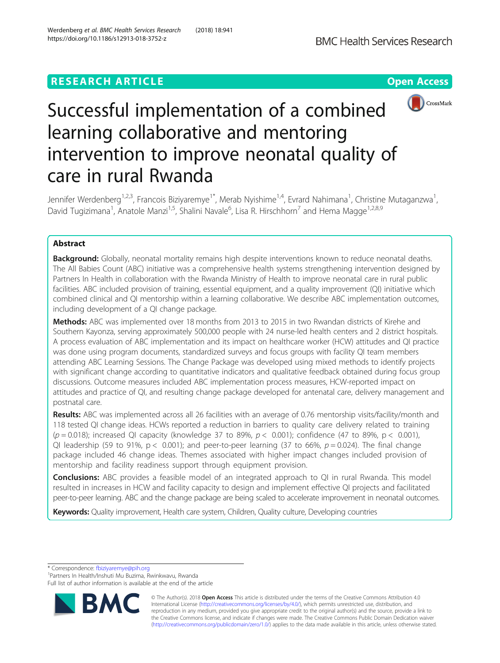# **RESEARCH ARTICLE Example 2014 12:30 The Contract of Contract ACCESS**



# Successful implementation of a combined learning collaborative and mentoring intervention to improve neonatal quality of care in rural Rwanda

Jennifer Werdenberg<sup>1,2,3</sup>, Francois Biziyaremye<sup>1\*</sup>, Merab Nyishime<sup>1,4</sup>, Evrard Nahimana<sup>1</sup>, Christine Mutaganzwa<sup>1</sup> , David Tugizimana<sup>1</sup>, Anatole Manzi<sup>1,5</sup>, Shalini Navale<sup>6</sup>, Lisa R. Hirschhorn<sup>7</sup> and Hema Magge<sup>1,2,8,9</sup>

# Abstract

Background: Globally, neonatal mortality remains high despite interventions known to reduce neonatal deaths. The All Babies Count (ABC) initiative was a comprehensive health systems strengthening intervention designed by Partners In Health in collaboration with the Rwanda Ministry of Health to improve neonatal care in rural public facilities. ABC included provision of training, essential equipment, and a quality improvement (QI) initiative which combined clinical and QI mentorship within a learning collaborative. We describe ABC implementation outcomes, including development of a QI change package.

Methods: ABC was implemented over 18 months from 2013 to 2015 in two Rwandan districts of Kirehe and Southern Kayonza, serving approximately 500,000 people with 24 nurse-led health centers and 2 district hospitals. A process evaluation of ABC implementation and its impact on healthcare worker (HCW) attitudes and QI practice was done using program documents, standardized surveys and focus groups with facility QI team members attending ABC Learning Sessions. The Change Package was developed using mixed methods to identify projects with significant change according to quantitative indicators and qualitative feedback obtained during focus group discussions. Outcome measures included ABC implementation process measures, HCW-reported impact on attitudes and practice of QI, and resulting change package developed for antenatal care, delivery management and postnatal care.

Results: ABC was implemented across all 26 facilities with an average of 0.76 mentorship visits/facility/month and 118 tested QI change ideas. HCWs reported a reduction in barriers to quality care delivery related to training  $(p = 0.018)$ ; increased QI capacity (knowledge 37 to 89%,  $p < 0.001$ ); confidence (47 to 89%,  $p < 0.001$ ), QI leadership (59 to 91%,  $p < 0.001$ ); and peer-to-peer learning (37 to 66%,  $p = 0.024$ ). The final change package included 46 change ideas. Themes associated with higher impact changes included provision of mentorship and facility readiness support through equipment provision.

**Conclusions:** ABC provides a feasible model of an integrated approach to QI in rural Rwanda. This model resulted in increases in HCW and facility capacity to design and implement effective QI projects and facilitated peer-to-peer learning. ABC and the change package are being scaled to accelerate improvement in neonatal outcomes.

Keywords: Quality improvement, Health care system, Children, Quality culture, Developing countries

\* Correspondence: [fbiziyaremye@pih.org](mailto:fbiziyaremye@pih.org) <sup>1</sup>

Partners In Health/Inshuti Mu Buzima, Rwinkwavu, Rwanda Full list of author information is available at the end of the article



© The Author(s). 2018 Open Access This article is distributed under the terms of the Creative Commons Attribution 4.0 International License [\(http://creativecommons.org/licenses/by/4.0/](http://creativecommons.org/licenses/by/4.0/)), which permits unrestricted use, distribution, and reproduction in any medium, provided you give appropriate credit to the original author(s) and the source, provide a link to the Creative Commons license, and indicate if changes were made. The Creative Commons Public Domain Dedication waiver [\(http://creativecommons.org/publicdomain/zero/1.0/](http://creativecommons.org/publicdomain/zero/1.0/)) applies to the data made available in this article, unless otherwise stated.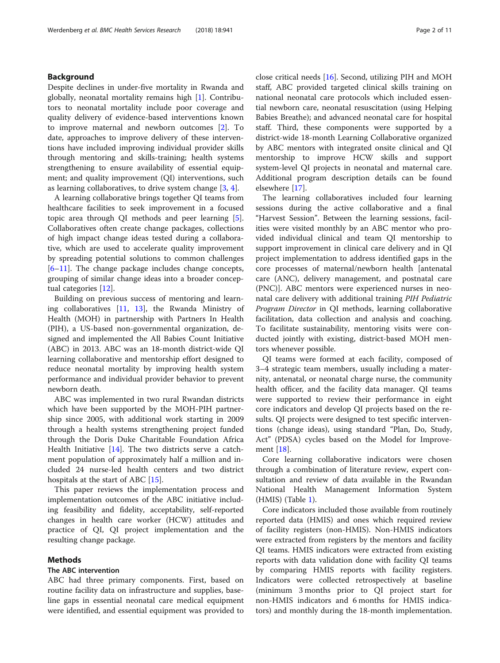# Background

Despite declines in under-five mortality in Rwanda and globally, neonatal mortality remains high [[1\]](#page-9-0). Contributors to neonatal mortality include poor coverage and quality delivery of evidence-based interventions known to improve maternal and newborn outcomes [[2\]](#page-9-0). To date, approaches to improve delivery of these interventions have included improving individual provider skills through mentoring and skills-training; health systems strengthening to ensure availability of essential equipment; and quality improvement (QI) interventions, such as learning collaboratives, to drive system change [[3,](#page-9-0) [4\]](#page-9-0).

A learning collaborative brings together QI teams from healthcare facilities to seek improvement in a focused topic area through QI methods and peer learning [\[5](#page-9-0)]. Collaboratives often create change packages, collections of high impact change ideas tested during a collaborative, which are used to accelerate quality improvement by spreading potential solutions to common challenges [[6](#page-9-0)–[11\]](#page-9-0). The change package includes change concepts, grouping of similar change ideas into a broader conceptual categories [[12\]](#page-9-0).

Building on previous success of mentoring and learning collaboratives [[11,](#page-9-0) [13](#page-9-0)], the Rwanda Ministry of Health (MOH) in partnership with Partners In Health (PIH), a US-based non-governmental organization, designed and implemented the All Babies Count Initiative (ABC) in 2013. ABC was an 18-month district-wide QI learning collaborative and mentorship effort designed to reduce neonatal mortality by improving health system performance and individual provider behavior to prevent newborn death.

ABC was implemented in two rural Rwandan districts which have been supported by the MOH-PIH partnership since 2005, with additional work starting in 2009 through a health systems strengthening project funded through the Doris Duke Charitable Foundation Africa Health Initiative [[14\]](#page-9-0). The two districts serve a catchment population of approximately half a million and included 24 nurse-led health centers and two district hospitals at the start of ABC [[15](#page-9-0)].

This paper reviews the implementation process and implementation outcomes of the ABC initiative including feasibility and fidelity, acceptability, self-reported changes in health care worker (HCW) attitudes and practice of QI, QI project implementation and the resulting change package.

# Methods

# The ABC intervention

ABC had three primary components. First, based on routine facility data on infrastructure and supplies, baseline gaps in essential neonatal care medical equipment were identified, and essential equipment was provided to close critical needs [[16\]](#page-9-0). Second, utilizing PIH and MOH staff, ABC provided targeted clinical skills training on national neonatal care protocols which included essential newborn care, neonatal resuscitation (using Helping Babies Breathe); and advanced neonatal care for hospital staff. Third, these components were supported by a district-wide 18-month Learning Collaborative organized by ABC mentors with integrated onsite clinical and QI mentorship to improve HCW skills and support system-level QI projects in neonatal and maternal care. Additional program description details can be found elsewhere [[17](#page-9-0)].

The learning collaboratives included four learning sessions during the active collaborative and a final "Harvest Session". Between the learning sessions, facilities were visited monthly by an ABC mentor who provided individual clinical and team QI mentorship to support improvement in clinical care delivery and in QI project implementation to address identified gaps in the core processes of maternal/newborn health [antenatal care (ANC), delivery management, and postnatal care (PNC)]. ABC mentors were experienced nurses in neonatal care delivery with additional training PIH Pediatric Program Director in QI methods, learning collaborative facilitation, data collection and analysis and coaching. To facilitate sustainability, mentoring visits were conducted jointly with existing, district-based MOH mentors whenever possible.

QI teams were formed at each facility, composed of 3–4 strategic team members, usually including a maternity, antenatal, or neonatal charge nurse, the community health officer, and the facility data manager. QI teams were supported to review their performance in eight core indicators and develop QI projects based on the results. QI projects were designed to test specific interventions (change ideas), using standard "Plan, Do, Study, Act" (PDSA) cycles based on the Model for Improvement [[18\]](#page-9-0).

Core learning collaborative indicators were chosen through a combination of literature review, expert consultation and review of data available in the Rwandan National Health Management Information System (HMIS) (Table [1](#page-2-0)).

Core indicators included those available from routinely reported data (HMIS) and ones which required review of facility registers (non-HMIS). Non-HMIS indicators were extracted from registers by the mentors and facility QI teams. HMIS indicators were extracted from existing reports with data validation done with facility QI teams by comparing HMIS reports with facility registers. Indicators were collected retrospectively at baseline (minimum 3 months prior to QI project start for non-HMIS indicators and 6 months for HMIS indicators) and monthly during the 18-month implementation.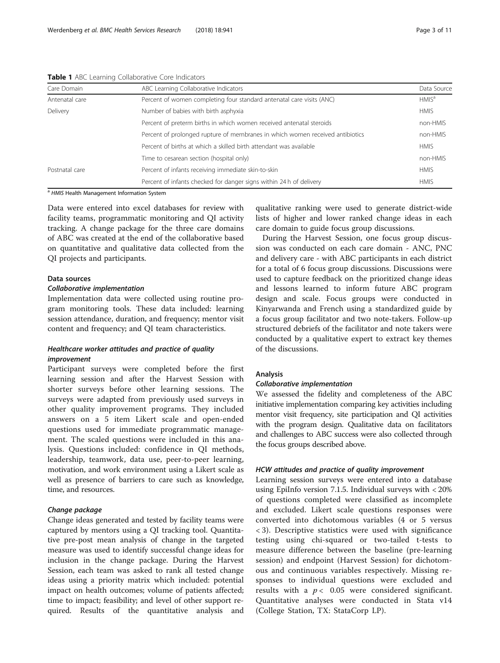<span id="page-2-0"></span>Table 1 ABC Learning Collaborative Core Indicators

| Care Domain    | ABC Learning Collaborative Indicators                                         | Data Source       |
|----------------|-------------------------------------------------------------------------------|-------------------|
| Antenatal care | Percent of women completing four standard antenatal care visits (ANC)         | HMIS <sup>a</sup> |
| Delivery       | Number of babies with birth asphyxia                                          | <b>HMIS</b>       |
|                | Percent of preterm births in which women received antenatal steroids          | non-HMIS          |
|                | Percent of prolonged rupture of membranes in which women received antibiotics | non-HMIS          |
|                | Percent of births at which a skilled birth attendant was available            | <b>HMIS</b>       |
|                | Time to cesarean section (hospital only)                                      | non-HMIS          |
| Postnatal care | Percent of infants receiving immediate skin-to-skin                           | <b>HMIS</b>       |
|                | Percent of infants checked for danger signs within 24 h of delivery           | <b>HMIS</b>       |

a HMIS Health Management Information System

Data were entered into excel databases for review with facility teams, programmatic monitoring and QI activity tracking. A change package for the three care domains of ABC was created at the end of the collaborative based on quantitative and qualitative data collected from the QI projects and participants.

# Data sources

### Collaborative implementation

Implementation data were collected using routine program monitoring tools. These data included: learning session attendance, duration, and frequency; mentor visit content and frequency; and QI team characteristics.

# Healthcare worker attitudes and practice of quality improvement

Participant surveys were completed before the first learning session and after the Harvest Session with shorter surveys before other learning sessions. The surveys were adapted from previously used surveys in other quality improvement programs. They included answers on a 5 item Likert scale and open-ended questions used for immediate programmatic management. The scaled questions were included in this analysis. Questions included: confidence in QI methods, leadership, teamwork, data use, peer-to-peer learning, motivation, and work environment using a Likert scale as well as presence of barriers to care such as knowledge, time, and resources.

## Change package

Change ideas generated and tested by facility teams were captured by mentors using a QI tracking tool. Quantitative pre-post mean analysis of change in the targeted measure was used to identify successful change ideas for inclusion in the change package. During the Harvest Session, each team was asked to rank all tested change ideas using a priority matrix which included: potential impact on health outcomes; volume of patients affected; time to impact; feasibility; and level of other support required. Results of the quantitative analysis and

qualitative ranking were used to generate district-wide lists of higher and lower ranked change ideas in each care domain to guide focus group discussions.

During the Harvest Session, one focus group discussion was conducted on each care domain - ANC, PNC and delivery care - with ABC participants in each district for a total of 6 focus group discussions. Discussions were used to capture feedback on the prioritized change ideas and lessons learned to inform future ABC program design and scale. Focus groups were conducted in Kinyarwanda and French using a standardized guide by a focus group facilitator and two note-takers. Follow-up structured debriefs of the facilitator and note takers were conducted by a qualitative expert to extract key themes of the discussions.

# Analysis

### Collaborative implementation

We assessed the fidelity and completeness of the ABC initiative implementation comparing key activities including mentor visit frequency, site participation and QI activities with the program design. Qualitative data on facilitators and challenges to ABC success were also collected through the focus groups described above.

### HCW attitudes and practice of quality improvement

Learning session surveys were entered into a database using EpiInfo version 7.1.5. Individual surveys with < 20% of questions completed were classified as incomplete and excluded. Likert scale questions responses were converted into dichotomous variables (4 or 5 versus < 3). Descriptive statistics were used with significance testing using chi-squared or two-tailed t-tests to measure difference between the baseline (pre-learning session) and endpoint (Harvest Session) for dichotomous and continuous variables respectively. Missing responses to individual questions were excluded and results with a  $p < 0.05$  were considered significant. Quantitative analyses were conducted in Stata v14 (College Station, TX: StataCorp LP).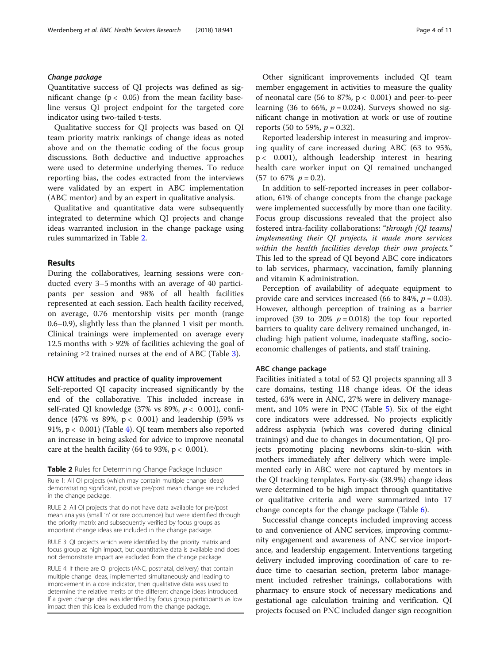# Change package

Quantitative success of QI projects was defined as significant change ( $p < 0.05$ ) from the mean facility baseline versus QI project endpoint for the targeted core indicator using two-tailed t-tests.

Qualitative success for QI projects was based on QI team priority matrix rankings of change ideas as noted above and on the thematic coding of the focus group discussions. Both deductive and inductive approaches were used to determine underlying themes. To reduce reporting bias, the codes extracted from the interviews were validated by an expert in ABC implementation (ABC mentor) and by an expert in qualitative analysis.

Qualitative and quantitative data were subsequently integrated to determine which QI projects and change ideas warranted inclusion in the change package using rules summarized in Table 2.

# Results

During the collaboratives, learning sessions were conducted every 3–5 months with an average of 40 participants per session and 98% of all health facilities represented at each session. Each health facility received, on average, 0.76 mentorship visits per month (range 0.6–0.9), slightly less than the planned 1 visit per month. Clinical trainings were implemented on average every 12.5 months with > 92% of facilities achieving the goal of retaining  $\geq 2$  trained nurses at the end of ABC (Table [3](#page-4-0)).

#### HCW attitudes and practice of quality improvement

Self-reported QI capacity increased significantly by the end of the collaborative. This included increase in self-rated QI knowledge (37% vs 89%,  $p < 0.001$ ), confidence (47% vs 89%,  $p < 0.001$ ) and leadership (59% vs 91%, p < 0.001) (Table [4](#page-5-0)). QI team members also reported an increase in being asked for advice to improve neonatal care at the health facility (64 to 93%,  $p < 0.001$ ).

#### **Table 2** Rules for Determining Change Package Inclusion

Rule 1: All QI projects (which may contain multiple change ideas) demonstrating significant, positive pre/post mean change are included in the change package.

RULE 2: All QI projects that do not have data available for pre/post mean analysis (small 'n' or rare occurrence) but were identified through the priority matrix and subsequently verified by focus groups as important change ideas are included in the change package.

RULE 3: QI projects which were identified by the priority matrix and focus group as high impact, but quantitative data is available and does not demonstrate impact are excluded from the change package.

RULE 4: If there are QI projects (ANC, postnatal, delivery) that contain multiple change ideas, implemented simultaneously and leading to improvement in a core indicator, then qualitative data was used to determine the relative merits of the different change ideas introduced. If a given change idea was identified by focus group participants as low impact then this idea is excluded from the change package.

Other significant improvements included QI team member engagement in activities to measure the quality of neonatal care (56 to 87%,  $p < 0.001$ ) and peer-to-peer learning (36 to 66%,  $p = 0.024$ ). Surveys showed no significant change in motivation at work or use of routine reports (50 to 59%,  $p = 0.32$ ).

Reported leadership interest in measuring and improving quality of care increased during ABC (63 to 95%, p < 0.001), although leadership interest in hearing health care worker input on QI remained unchanged (57 to 67%  $p = 0.2$ ).

In addition to self-reported increases in peer collaboration, 61% of change concepts from the change package were implemented successfully by more than one facility. Focus group discussions revealed that the project also fostered intra-facility collaborations: "through [QI teams] implementing their QI projects, it made more services within the health facilities develop their own projects." This led to the spread of QI beyond ABC core indicators to lab services, pharmacy, vaccination, family planning and vitamin K administration.

Perception of availability of adequate equipment to provide care and services increased (66 to 84%,  $p = 0.03$ ). However, although perception of training as a barrier improved (39 to 20%  $p = 0.018$ ) the top four reported barriers to quality care delivery remained unchanged, including: high patient volume, inadequate staffing, socioeconomic challenges of patients, and staff training.

# ABC change package

Facilities initiated a total of 52 QI projects spanning all 3 care domains, testing 118 change ideas. Of the ideas tested, 63% were in ANC, 27% were in delivery management, and 10% were in PNC (Table [5](#page-6-0)). Six of the eight core indicators were addressed. No projects explicitly address asphyxia (which was covered during clinical trainings) and due to changes in documentation, QI projects promoting placing newborns skin-to-skin with mothers immediately after delivery which were implemented early in ABC were not captured by mentors in the QI tracking templates. Forty-six (38.9%) change ideas were determined to be high impact through quantitative or qualitative criteria and were summarized into 17 change concepts for the change package (Table  $6$ ).

Successful change concepts included improving access to and convenience of ANC services, improving community engagement and awareness of ANC service importance, and leadership engagement. Interventions targeting delivery included improving coordination of care to reduce time to caesarian section, preterm labor management included refresher trainings, collaborations with pharmacy to ensure stock of necessary medications and gestational age calculation training and verification. QI projects focused on PNC included danger sign recognition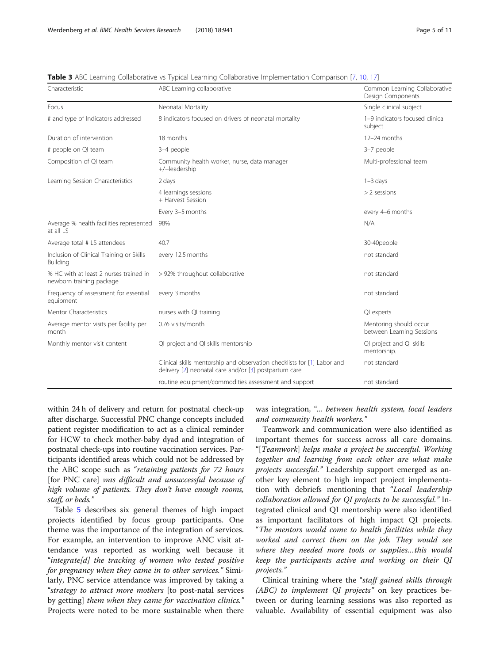| Characteristic                                                       | ABC Learning collaborative                                                                                                       | Common Learning Collaborative<br>Design Components  |  |
|----------------------------------------------------------------------|----------------------------------------------------------------------------------------------------------------------------------|-----------------------------------------------------|--|
| Focus                                                                | Neonatal Mortality                                                                                                               | Single clinical subject                             |  |
| # and type of Indicators addressed                                   | 8 indicators focused on drivers of neonatal mortality                                                                            | 1-9 indicators focused clinical<br>subject          |  |
| Duration of intervention                                             | 18 months                                                                                                                        | 12-24 months                                        |  |
| # people on QI team                                                  | 3-4 people                                                                                                                       | 3-7 people                                          |  |
| Composition of QI team                                               | Community health worker, nurse, data manager<br>+/-leadership                                                                    | Multi-professional team                             |  |
| Learning Session Characteristics                                     | 2 days                                                                                                                           | $1 - 3$ days                                        |  |
|                                                                      | 4 learnings sessions<br>+ Harvest Session                                                                                        | $> 2$ sessions                                      |  |
|                                                                      | Every 3-5 months                                                                                                                 | every 4-6 months                                    |  |
| Average % health facilities represented<br>at all LS                 | 98%                                                                                                                              | N/A                                                 |  |
| Average total # LS attendees                                         | 40.7                                                                                                                             | 30-40people                                         |  |
| Inclusion of Clinical Training or Skills<br><b>Building</b>          | every 12.5 months                                                                                                                | not standard                                        |  |
| % HC with at least 2 nurses trained in<br>newborn training package   | > 92% throughout collaborative                                                                                                   | not standard                                        |  |
| Frequency of assessment for essential<br>equipment                   | every 3 months                                                                                                                   | not standard                                        |  |
| Mentor Characteristics<br>nurses with QI training                    |                                                                                                                                  | QI experts                                          |  |
| 0.76 visits/month<br>Average mentor visits per facility per<br>month |                                                                                                                                  | Mentoring should occur<br>between Learning Sessions |  |
| Monthly mentor visit content                                         | QI project and QI skills mentorship                                                                                              | QI project and QI skills<br>mentorship.             |  |
|                                                                      | Clinical skills mentorship and observation checklists for [1] Labor and<br>delivery [2] neonatal care and/or [3] postpartum care | not standard                                        |  |
|                                                                      | routine equipment/commodities assessment and support                                                                             | not standard                                        |  |

<span id="page-4-0"></span>Table 3 ABC Learning Collaborative vs Typical Learning Collaborative Implementation Comparison [[7,](#page-9-0) [10,](#page-9-0) [17\]](#page-9-0)

within 24 h of delivery and return for postnatal check-up after discharge. Successful PNC change concepts included patient register modification to act as a clinical reminder for HCW to check mother-baby dyad and integration of postnatal check-ups into routine vaccination services. Participants identified areas which could not be addressed by the ABC scope such as "retaining patients for 72 hours [for PNC care] was difficult and unsuccessful because of high volume of patients. They don't have enough rooms, staff, or beds."

Table [5](#page-6-0) describes six general themes of high impact projects identified by focus group participants. One theme was the importance of the integration of services. For example, an intervention to improve ANC visit attendance was reported as working well because it "integrate[d] the tracking of women who tested positive for pregnancy when they came in to other services." Similarly, PNC service attendance was improved by taking a "strategy to attract more mothers [to post-natal services by getting] them when they came for vaccination clinics." Projects were noted to be more sustainable when there was integration, "... between health system, local leaders and community health workers."

Teamwork and communication were also identified as important themes for success across all care domains. "[Teamwork] helps make a project be successful. Working together and learning from each other are what make projects successful." Leadership support emerged as another key element to high impact project implementation with debriefs mentioning that "Local leadership collaboration allowed for QI projects to be successful." Integrated clinical and QI mentorship were also identified as important facilitators of high impact QI projects. "The mentors would come to health facilities while they worked and correct them on the job. They would see where they needed more tools or supplies…this would keep the participants active and working on their QI projects."

Clinical training where the "staff gained skills through (ABC) to implement QI projects" on key practices between or during learning sessions was also reported as valuable. Availability of essential equipment was also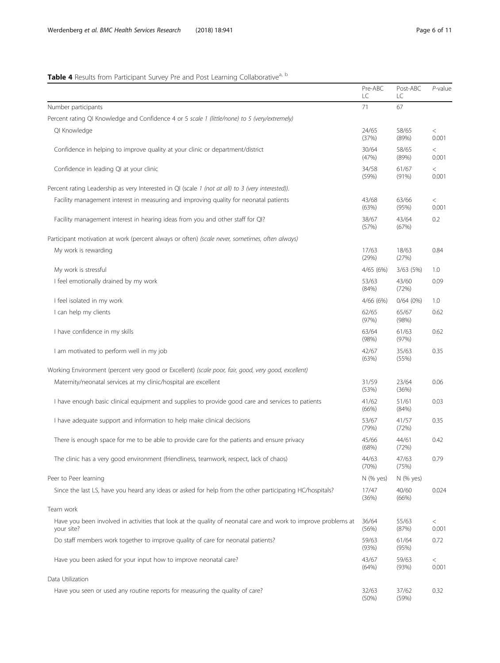# <span id="page-5-0"></span>Table 4 Results from Participant Survey Pre and Post Learning Collaborative<sup>a, b</sup>

|                                                                                                                              | Pre-ABC<br>LC  | Post-ABC<br>LC | P-value          |
|------------------------------------------------------------------------------------------------------------------------------|----------------|----------------|------------------|
| Number participants                                                                                                          | 71             | 67             |                  |
| Percent rating QI Knowledge and Confidence 4 or 5 scale 1 (little/none) to 5 (very/extremely)                                |                |                |                  |
| QI Knowledge                                                                                                                 | 24/65<br>(37%) | 58/65<br>(89%) | $\,<$<br>0.001   |
| Confidence in helping to improve quality at your clinic or department/district                                               | 30/64<br>(47%) | 58/65<br>(89%) | $\,<$<br>0.001   |
| Confidence in leading QI at your clinic                                                                                      | 34/58<br>(59%) | 61/67<br>(91%) | $\,<$<br>0.001   |
| Percent rating Leadership as very Interested in QI (scale 1 (not at all) to 3 (very interested)).                            |                |                |                  |
| Facility management interest in measuring and improving quality for neonatal patients                                        | 43/68<br>(63%) | 63/66<br>(95%) | $\,<$<br>0.001   |
| Facility management interest in hearing ideas from you and other staff for QI?                                               | 38/67<br>(57%) | 43/64<br>(67%) | 0.2              |
| Participant motivation at work (percent always or often) (scale never, sometimes, often always)                              |                |                |                  |
| My work is rewarding                                                                                                         | 17/63<br>(29%) | 18/63<br>(27%) | 0.84             |
| My work is stressful                                                                                                         | 4/65(6%)       | 3/63(5%)       | 1.0              |
| I feel emotionally drained by my work                                                                                        | 53/63<br>(84%) | 43/60<br>(72%) | 0.09             |
| I feel isolated in my work                                                                                                   | 4/66 (6%)      | 0/64(0%)       | 1.0              |
| I can help my clients                                                                                                        | 62/65<br>(97%) | 65/67<br>(98%) | 0.62             |
| I have confidence in my skills                                                                                               | 63/64<br>(98%) | 61/63<br>(97%) | 0.62             |
| I am motivated to perform well in my job                                                                                     | 42/67<br>(63%) | 35/63<br>(55%) | 0.35             |
| Working Environment (percent very good or Excellent) (scale poor, fair, good, very good, excellent)                          |                |                |                  |
| Maternity/neonatal services at my clinic/hospital are excellent                                                              | 31/59<br>(53%) | 23/64<br>(36%) | 0.06             |
| I have enough basic clinical equipment and supplies to provide good care and services to patients                            | 41/62<br>(66%) | 51/61<br>(84%) | 0.03             |
| I have adequate support and information to help make clinical decisions                                                      | 53/67<br>(79%) | 41/57<br>(72%) | 0.35             |
| There is enough space for me to be able to provide care for the patients and ensure privacy                                  | 45/66<br>(68%) | 44/61<br>(72%) | 0.42             |
| The clinic has a very good environment (friendliness, teamwork, respect, lack of chaos)                                      | 44/63<br>(70%) | 47/63<br>(75%) | 0.79             |
| Peer to Peer learning                                                                                                        | $N$ (% yes)    | N (% yes)      |                  |
| Since the last LS, have you heard any ideas or asked for help from the other participating HC/hospitals?                     | 17/47<br>(36%) | 40/60<br>(66%) | 0.024            |
| Team work                                                                                                                    |                |                |                  |
| Have you been involved in activities that look at the quality of neonatal care and work to improve problems at<br>your site? | 36/64<br>(56%) | 55/63<br>(87%) | $\,<$<br>0.001   |
| Do staff members work together to improve quality of care for neonatal patients?                                             | 59/63<br>(93%) | 61/64<br>(95%) | 0.72             |
| Have you been asked for your input how to improve neonatal care?                                                             | 43/67<br>(64%) | 59/63<br>(93%) | $\,<\,$<br>0.001 |
| Data Utilization                                                                                                             |                |                |                  |
| Have you seen or used any routine reports for measuring the quality of care?                                                 | 32/63<br>(50%) | 37/62<br>(59%) | 0.32             |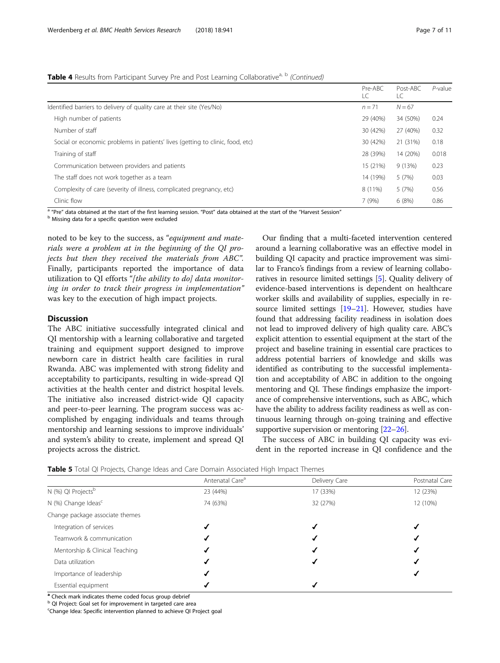|                                                                               | Pre-ABC<br>LC | Post-ABC<br>LC | $P$ -value |
|-------------------------------------------------------------------------------|---------------|----------------|------------|
| Identified barriers to delivery of quality care at their site (Yes/No)        | $n = 71$      | $N = 67$       |            |
| High number of patients                                                       | 29 (40%)      | 34 (50%)       | 0.24       |
| Number of staff                                                               | 30 (42%)      | 27 (40%)       | 0.32       |
| Social or economic problems in patients' lives (getting to clinic, food, etc) | 30 (42%)      | 21 (31%)       | 0.18       |
| Training of staff                                                             | 28 (39%)      | 14 (20%)       | 0.018      |
| Communication between providers and patients                                  | 15 (21%)      | 9 (13%)        | 0.23       |
| The staff does not work together as a team                                    | 14 (19%)      | 5 (7%)         | 0.03       |
| Complexity of care (severity of illness, complicated pregnancy, etc)          | 8 (11%)       | 5 (7%)         | 0.56       |
| Clinic flow                                                                   | 7(9%)         | 6(8%)          | 0.86       |

<span id="page-6-0"></span>**Table 4** Results from Participant Survey Pre and Post Learning Collaborative<sup>a, b</sup> (Continued)

<sup>a</sup> "Pre" data obtained at the start of the first learning session. "Post" data obtained at the start of the "Harvest Session" b Missing data for a specific question were excluded

noted to be key to the success, as "equipment and materials were a problem at in the beginning of the QI projects but then they received the materials from ABC". Finally, participants reported the importance of data utilization to QI efforts "[the ability to do] data monitoring in order to track their progress in implementation" was key to the execution of high impact projects.

# **Discussion**

The ABC initiative successfully integrated clinical and QI mentorship with a learning collaborative and targeted training and equipment support designed to improve newborn care in district health care facilities in rural Rwanda. ABC was implemented with strong fidelity and acceptability to participants, resulting in wide-spread QI activities at the health center and district hospital levels. The initiative also increased district-wide QI capacity and peer-to-peer learning. The program success was accomplished by engaging individuals and teams through mentorship and learning sessions to improve individuals' and system's ability to create, implement and spread QI projects across the district.

Our finding that a multi-faceted intervention centered around a learning collaborative was an effective model in building QI capacity and practice improvement was similar to Franco's findings from a review of learning collabo-ratives in resource limited settings [\[5](#page-9-0)]. Quality delivery of evidence-based interventions is dependent on healthcare worker skills and availability of supplies, especially in resource limited settings [[19](#page-9-0)–[21\]](#page-9-0). However, studies have found that addressing facility readiness in isolation does not lead to improved delivery of high quality care. ABC's explicit attention to essential equipment at the start of the project and baseline training in essential care practices to address potential barriers of knowledge and skills was identified as contributing to the successful implementation and acceptability of ABC in addition to the ongoing mentoring and QI. These findings emphasize the importance of comprehensive interventions, such as ABC, which have the ability to address facility readiness as well as continuous learning through on-going training and effective supportive supervision or mentoring [[22](#page-9-0)–[26\]](#page-9-0).

The success of ABC in building QI capacity was evident in the reported increase in QI confidence and the

|                                 | Antenatal Care <sup>a</sup> | Delivery Care | Postnatal Care |  |
|---------------------------------|-----------------------------|---------------|----------------|--|
| N (%) QI Projects <sup>b</sup>  | 23 (44%)                    | 17 (33%)      | 12 (23%)       |  |
| N (%) Change Ideas <sup>c</sup> | 74 (63%)                    | 32 (27%)      | 12 (10%)       |  |
| Change package associate themes |                             |               |                |  |
| Integration of services         |                             |               |                |  |
| Teamwork & communication        |                             |               |                |  |
| Mentorship & Clinical Teaching  |                             |               |                |  |
| Data utilization                |                             |               |                |  |
| Importance of leadership        |                             |               |                |  |
| Essential equipment             |                             |               |                |  |

<sup>a</sup> Check mark indicates theme coded focus group debrief

b QI Project: Goal set for improvement in targeted care area

<sup>c</sup>Change Idea: Specific intervention planned to achieve QI Project goal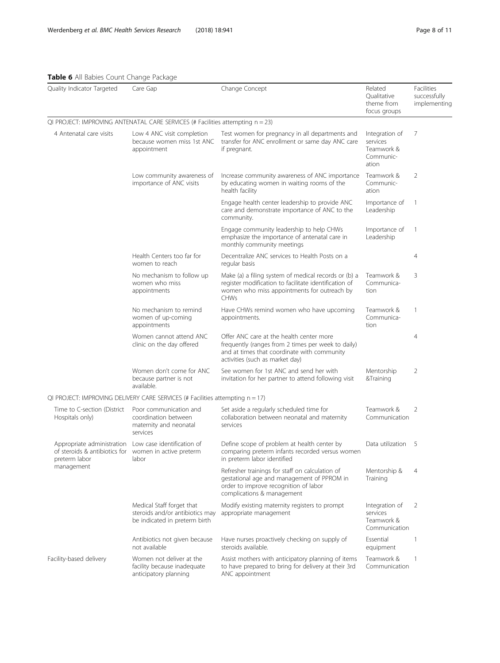<span id="page-7-0"></span>Table 6 All Babies Count Change Package

| Quality Indicator Targeted                                                                                                                    | Care Gap                                                                                      | Change Concept                                                                                                                                                                   | Related<br>Qualitative<br>theme from<br>focus groups           | Facilities<br>successfully<br>implementing |
|-----------------------------------------------------------------------------------------------------------------------------------------------|-----------------------------------------------------------------------------------------------|----------------------------------------------------------------------------------------------------------------------------------------------------------------------------------|----------------------------------------------------------------|--------------------------------------------|
|                                                                                                                                               | QI PROJECT: IMPROVING ANTENATAL CARE SERVICES (# Facilities attempting $n = 23$ )             |                                                                                                                                                                                  |                                                                |                                            |
| 4 Antenatal care visits                                                                                                                       | Low 4 ANC visit completion<br>because women miss 1st ANC<br>appointment                       | Test women for pregnancy in all departments and<br>transfer for ANC enrollment or same day ANC care<br>if pregnant.                                                              | Integration of<br>services<br>Teamwork &<br>Communic-<br>ation | 7                                          |
|                                                                                                                                               | Low community awareness of<br>importance of ANC visits                                        | Increase community awareness of ANC importance<br>by educating women in waiting rooms of the<br>health facility                                                                  | Teamwork &<br>Communic-<br>ation                               | 2                                          |
|                                                                                                                                               |                                                                                               | Engage health center leadership to provide ANC<br>care and demonstrate importance of ANC to the<br>community.                                                                    | Importance of<br>Leadership                                    | $\mathbf{1}$                               |
|                                                                                                                                               |                                                                                               | Engage community leadership to help CHWs<br>emphasize the importance of antenatal care in<br>monthly community meetings                                                          | Importance of<br>Leadership                                    | -1                                         |
|                                                                                                                                               | Health Centers too far for<br>women to reach                                                  | Decentralize ANC services to Health Posts on a<br>regular basis                                                                                                                  |                                                                | 4                                          |
|                                                                                                                                               | No mechanism to follow up<br>women who miss<br>appointments                                   | Make (a) a filing system of medical records or (b) a<br>register modification to facilitate identification of<br>women who miss appointments for outreach by<br><b>CHWs</b>      | Teamwork &<br>Communica-<br>tion                               | 3                                          |
|                                                                                                                                               | No mechanism to remind<br>women of up-coming<br>appointments                                  | Have CHWs remind women who have upcoming<br>appointments.                                                                                                                        | Teamwork &<br>Communica-<br>tion                               | 1                                          |
|                                                                                                                                               | Women cannot attend ANC<br>clinic on the day offered                                          | Offer ANC care at the health center more<br>frequently (ranges from 2 times per week to daily)<br>and at times that coordinate with community<br>activities (such as market day) |                                                                | 4                                          |
|                                                                                                                                               | Women don't come for ANC<br>because partner is not<br>available.                              | See women for 1st ANC and send her with<br>invitation for her partner to attend following visit                                                                                  | Mentorship<br>&Training                                        | 2                                          |
|                                                                                                                                               | QI PROJECT: IMPROVING DELIVERY CARE SERVICES (# Facilities attempting n = 17)                 |                                                                                                                                                                                  |                                                                |                                            |
| Time to C-section (District<br>Hospitals only)                                                                                                | Poor communication and<br>coordination between<br>maternity and neonatal<br>services          | Set aside a regularly scheduled time for<br>collaboration between neonatal and maternity<br>services                                                                             | Teamwork &<br>Communication                                    | 2                                          |
| Appropriate administration Low case identification of<br>of steroids & antibiotics for women in active preterm<br>preterm labor<br>management | labor                                                                                         | Define scope of problem at health center by<br>comparing preterm infants recorded versus women<br>in preterm labor identified                                                    | Data utilization 5                                             |                                            |
|                                                                                                                                               |                                                                                               | Refresher trainings for staff on calculation of<br>gestational age and management of PPROM in<br>order to improve recognition of labor<br>complications & management             | Mentorship &<br>Training                                       | $\overline{4}$                             |
|                                                                                                                                               | Medical Staff forget that<br>steroids and/or antibiotics may<br>be indicated in preterm birth | Modify existing maternity registers to prompt<br>appropriate management                                                                                                          | Integration of<br>services<br>Teamwork &<br>Communication      | 2                                          |
|                                                                                                                                               | Antibiotics not given because<br>not available                                                | Have nurses proactively checking on supply of<br>steroids available.                                                                                                             | Essential<br>equipment                                         | 1                                          |
| Facility-based delivery                                                                                                                       | Women not deliver at the<br>facility because inadequate<br>anticipatory planning              | Assist mothers with anticipatory planning of items<br>to have prepared to bring for delivery at their 3rd<br>ANC appointment                                                     | Teamwork &<br>Communication                                    | 1                                          |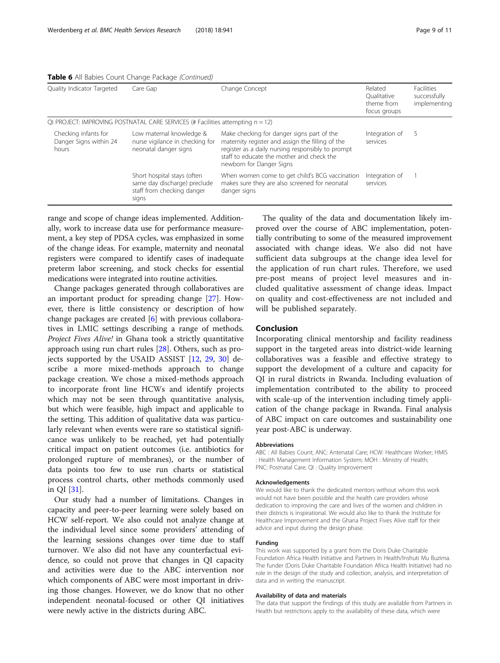Table 6 All Babies Count Change Package (Continued)

| Quality Indicator Targeted                              | Care Gap                                                                                           | Change Concept                                                                                                                                                                                                               | Related<br>Oualitative<br>theme from<br>focus groups | <b>Facilities</b><br>successfully<br>implementing |
|---------------------------------------------------------|----------------------------------------------------------------------------------------------------|------------------------------------------------------------------------------------------------------------------------------------------------------------------------------------------------------------------------------|------------------------------------------------------|---------------------------------------------------|
|                                                         | QI PROJECT: IMPROVING POSTNATAL CARE SERVICES (# Facilities attempting $n = 12$ )                  |                                                                                                                                                                                                                              |                                                      |                                                   |
| Checking infants for<br>Danger Signs within 24<br>hours | Low maternal knowledge &<br>nurse vigilance in checking for<br>neonatal danger signs               | Make checking for danger signs part of the<br>maternity register and assign the filling of the<br>register as a daily nursing responsibly to prompt<br>staff to educate the mother and check the<br>newborn for Danger Signs | Integration of<br>services                           | 5                                                 |
|                                                         | Short hospital stays (often<br>same day discharge) preclude<br>staff from checking danger<br>signs | When women come to get child's BCG vaccination<br>makes sure they are also screened for neonatal<br>danger signs                                                                                                             | Integration of<br>services                           |                                                   |

range and scope of change ideas implemented. Additionally, work to increase data use for performance measurement, a key step of PDSA cycles, was emphasized in some of the change ideas. For example, maternity and neonatal registers were compared to identify cases of inadequate preterm labor screening, and stock checks for essential medications were integrated into routine activities.

Change packages generated through collaboratives are an important product for spreading change [\[27\]](#page-9-0). However, there is little consistency or description of how change packages are created [[6](#page-9-0)] with previous collaboratives in LMIC settings describing a range of methods. Project Fives Alive! in Ghana took a strictly quantitative approach using run chart rules [[28\]](#page-9-0). Others, such as projects supported by the USAID ASSIST [\[12,](#page-9-0) [29,](#page-9-0) [30](#page-10-0)] describe a more mixed-methods approach to change package creation. We chose a mixed-methods approach to incorporate front line HCWs and identify projects which may not be seen through quantitative analysis, but which were feasible, high impact and applicable to the setting. This addition of qualitative data was particularly relevant when events were rare so statistical significance was unlikely to be reached, yet had potentially critical impact on patient outcomes (i.e. antibiotics for prolonged rupture of membranes), or the number of data points too few to use run charts or statistical process control charts, other methods commonly used in QI [[31](#page-10-0)].

Our study had a number of limitations. Changes in capacity and peer-to-peer learning were solely based on HCW self-report. We also could not analyze change at the individual level since some providers' attending of the learning sessions changes over time due to staff turnover. We also did not have any counterfactual evidence, so could not prove that changes in QI capacity and activities were due to the ABC intervention nor which components of ABC were most important in driving those changes. However, we do know that no other independent neonatal-focused or other QI initiatives were newly active in the districts during ABC.

The quality of the data and documentation likely improved over the course of ABC implementation, potentially contributing to some of the measured improvement associated with change ideas. We also did not have sufficient data subgroups at the change idea level for the application of run chart rules. Therefore, we used pre-post means of project level measures and included qualitative assessment of change ideas. Impact on quality and cost-effectiveness are not included and will be published separately.

# Conclusion

Incorporating clinical mentorship and facility readiness support in the targeted areas into district-wide learning collaboratives was a feasible and effective strategy to support the development of a culture and capacity for QI in rural districts in Rwanda. Including evaluation of implementation contributed to the ability to proceed with scale-up of the intervention including timely application of the change package in Rwanda. Final analysis of ABC impact on care outcomes and sustainability one year post-ABC is underway.

#### Abbreviations

ABC : All Babies Count; ANC: Antenatal Care; HCW: Healthcare Worker; HMIS : Health Management Information System; MOH : Ministry of Health; PNC: Postnatal Care; QI : Quality Improvement

#### Acknowledgements

We would like to thank the dedicated mentors without whom this work would not have been possible and the health care providers whose dedication to improving the care and lives of the women and children in their districts is inspirational. We would also like to thank the Institute for Healthcare Improvement and the Ghana Project Fives Alive staff for their advice and input during the design phase.

### Funding

This work was supported by a grant from the Doris Duke Charitable Foundation Africa Health Initiative and Partners In Health/Inshuti Mu Buzima. The funder (Doris Duke Charitable Foundation Africa Health Initiative) had no role in the design of the study and collection, analysis, and interpretation of data and in writing the manuscript.

#### Availability of data and materials

The data that support the findings of this study are available from Partners in Health but restrictions apply to the availability of these data, which were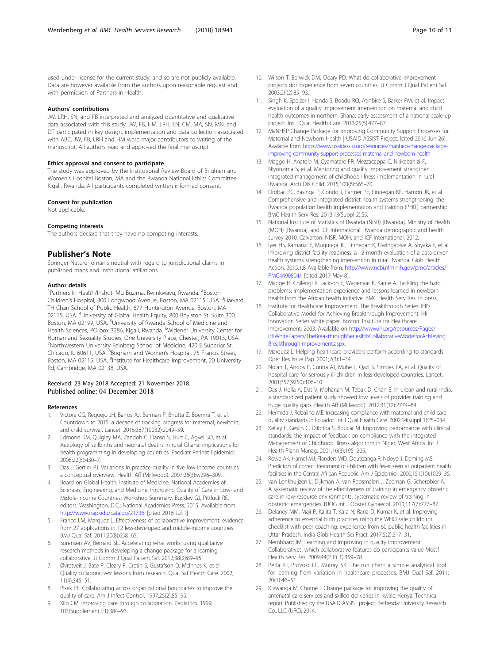<span id="page-9-0"></span>used under license for the current study, and so are not publicly available. Data are however available from the authors upon reasonable request and with permission of Partners in Health.

# Authors' contributions

JW, LRH, SN, and FB interpreted and analyzed quantitative and qualitative data associated with this study. JW, FB, HM, LRH, EN, CM, MA, SN, MN, and DT participated in key design, implementation and data collection associated with ABC. JW, FB, LRH and HM were major contributors to writing of the manuscript. All authors read and approved the final manuscript.

# Ethics approval and consent to participate

The study was approved by the Institutional Review Board of Brigham and Women's Hospital Boston, MA and the Rwanda National Ethics Committee Kigali, Rwanda. All participants completed written informed consent.

### Consent for publication

Not applicable.

#### Competing interests

The authors declare that they have no competing interests.

# Publisher's Note

Springer Nature remains neutral with regard to jurisdictional claims in published maps and institutional affiliations.

#### Author details

<sup>1</sup> Partners In Health/Inshuti Mu Buzima, Rwinkwavu, Rwanda. <sup>2</sup> Boston Children's Hospital, 300 Longwood Avenue, Boston, MA 02115, USA. <sup>3</sup>Harvard TH Chan School of Public Health, 677 Huntington Avenue, Boston, MA 02115, USA. <sup>4</sup>University of Global Health Equity, 800 Boylston St. Suite 300, Boston, MA 02199, USA. <sup>5</sup>University of Rwanda School of Medicine and Health Sciences, PO box 3286, Kigali, Rwanda. <sup>6</sup>Widener University Center for Human and Sexuality Studies, One University Place, Chester, PA 19013, USA. 7 Northwestern University Feinberg School of Medicine, 420 E Superior St, Chicago, IL 60611, USA. <sup>8</sup>Brigham and Women's Hospital, 75 Francis Street, Boston, MA 02115, USA. <sup>9</sup>Institute for Healthcare Improvement, 20 University Rd, Cambridge, MA 02138, USA.

# Received: 23 May 2018 Accepted: 21 November 2018 Published online: 04 December 2018

#### References

- Victora CG, Requejo JH, Barros AJ, Berman P, Bhutta Z, Boerma T, et al. Countdown to 2015: a decade of tracking progress for maternal, newborn, and child survival. Lancet. 2016;387(10032):2049–59.
- Edmond KM, Quigley MA, Zandoh C, Danso S, Hurt C, Agyei SO, et al. Aetiology of stillbirths and neonatal deaths in rural Ghana: implications for health programming in developing countries. Paediatr Perinat Epidemiol. 2008;22(5):430–7.
- 3. Das J, Gertler PJ. Variations in practice quality in five low-income countries: a conceptual overview. Health Aff (Millwood). 2007;26(3):w296–309.
- 4. Board on Global Health, Institute of Medicine, National Academies of Sciences, Engineering, and Medicine. Improving Quality of Care in Low- and Middle-Income Countries: Workshop Summary. Buckley GJ, Pittluck RE, editors. Washington, D.C.: National Academies Press; 2015. Available from: <http://www.nap.edu/catalog/21736>. [cited 2016 Jul 1]
- 5. Franco LM, Marquez L. Effectiveness of collaborative improvement: evidence from 27 applications in 12 less-developed and middle-income countries. BMJ Qual Saf. 2011;20(8):658–65.
- Sorensen AV, Bernard SL. Accelerating what works: using qualitative research methods in developing a change package for a learning collaborative. Jt Comm J Qual Patient Saf. 2012;38(2):89–95.
- 7. Øvretveit J, Bate P, Cleary P, Cretin S, Gustafson D, McInnes K, et al. Quality collaboratives: lessons from research. Qual Saf Health Care. 2002; 11(4):345–51.
- 8. Plsek PE. Collaborating across organizational boundaries to improve the quality of care. Am J Infect Control. 1997;25(2):85–95.
- Kilo CM. Improving care through collaboration. Pediatrics. 1999; 103(Supplement E1):384–93.
- 10. Wilson T, Berwick DM, Cleary PD. What do collaborative improvement projects do? Experience from seven countries. Jt Comm J Qual Patient Saf. 2003;29(2):85–93.
- 11. Singh K, Speizer I, Handa S, Boadu RO, Atinbire S, Barker PM, et al. Impact evaluation of a quality improvement intervention on maternal and child health outcomes in northern Ghana: early assessment of a national scale-up project. Int J Qual Health Care. 2013;25(5):477–87.
- 12. MaNHEP Change Package for Improving Community Support Processes for Maternal and Newborn Health | USAID ASSIST Project. [cited 2016 Jun 26]. Available from: [https://www.usaidassist.org/resources/manhep-change-package](https://www.usaidassist.org/resources/manhep-change-package-improving-community-support-processes-maternal-and-newborn-health)[improving-community-support-processes-maternal-and-newborn-health](https://www.usaidassist.org/resources/manhep-change-package-improving-community-support-processes-maternal-and-newborn-health)
- 13. Magge H, Anatole M, Cyamatare FR, Mezzacappa C, Nkikabahizi F, Niyonzima S, et al. Mentoring and quality improvement strengthen integrated management of childhood illness implementation in rural Rwanda. Arch Dis Child. 2015;100(6):565–70.
- 14. Drobac PC, Basinga P, Condo J, Farmer PE, Finnegan KE, Hamon JK, et al. Comprehensive and integrated district health systems strengthening: the Rwanda population health implementation and training (PHIT) partnership. BMC Health Serv Res. 2013;13(Suppl 2):S5.
- 15. National Institute of Statistics of Rwanda (NISR) [Rwanda], Ministry of Health (MOH) [Rwanda], and ICF International. Rwanda demographic and health survey 2010. Calverton: NISR, MOH, and ICF International; 2012.
- 16. Iyer HS, Kamanzi E, Mugunga JC, Finnegan K, Uwingabiye A, Shyaka E, et al. Improving district facility readiness: a 12-month evaluation of a data-driven health systems strengthening intervention in rural Rwanda. Glob Health Action. 2015;1:8 Available from: [http://www.ncbi.nlm.nih.gov/pmc/articles/](http://www.ncbi.nlm.nih.gov/pmc/articles/PMC4490804/) [PMC4490804/](http://www.ncbi.nlm.nih.gov/pmc/articles/PMC4490804/). [cited 2017 May 8].
- 17. Magge H, Chilengi R, Jackson E, Wagenaar B, Kante A. Tackling the hard problems: implementation experience and lessons learned in newborn health from the African health initiative. BMC Health Serv Res. in press.
- 18. Institute for Healthcare Improvement. The Breakthrough Series: IHI's Collaborative Model for Achieving Breakthrough Improvement, IHI Innovation Series white paper. Boston: Institute for Healthcare Improvement; 2003. Available on [http://www.ihi.org/resources/Pages/](http://www.ihi.org/resources/Pages/IHIWhitePapers/TheBreakthroughSeriesIHIsCollaborativeModelforAchievingBreakthroughImprovement.aspx) [IHIWhitePapers/TheBreakthroughSeriesIHIsCollaborativeModelforAchieving](http://www.ihi.org/resources/Pages/IHIWhitePapers/TheBreakthroughSeriesIHIsCollaborativeModelforAchievingBreakthroughImprovement.aspx) [BreakthroughImprovement.aspx.](http://www.ihi.org/resources/Pages/IHIWhitePapers/TheBreakthroughSeriesIHIsCollaborativeModelforAchievingBreakthroughImprovement.aspx)
- 19. Marquez L. Helping healthcare providers perform according to standards. Oper Res Issue Pap. 2001;2(3):1–34.
- 20. Nolan T, Angos P, Cunha AJ, Muhe L, Qazi S, Simoes EA, et al. Quality of hospital care for seriously ill children in less-developed countries. Lancet. 2001;357(9250):106–10.
- 21. Das J, Holla A, Das V, Mohanan M, Tabak D, Chan B. In urban and rural India, a standardized patient study showed low levels of provider training and huge quality gaps. Health Aff (Millwood). 2012;31(12):2774–84.
- 22. Hermida J, Robalino ME. Increasing compliance with maternal and child care quality standards in Ecuador. Int J Qual Health Care. 2002;14(suppl 1):25–034.
- 23. Kelley E, Geslin C, Djibrina S, Boucar M. Improving performance with clinical standards: the impact of feedback on compliance with the integrated Management of Childhood Illness algorithm in Niger, West Africa. Int J Health Plann Manag. 2001;16(3):195–205.
- 24. Rowe AK, Hamel MJ, Flanders WD, Doutizanga R, Ndoyo J, Deming MS. Predictors of correct treatment of children with fever seen at outpatient health facilities in the Central African Republic. Am J Epidemiol. 2000;151(10):1029–35.
- 25. van Lonkhuijzen L, Dijkman A, van Roosmalen J, Zeeman G, Scherpbier A. A systematic review of the effectiveness of training in emergency obstetric care in low-resource environments: systematic review of training in obstetric emergencies. BJOG Int J Obstet Gynaecol. 2010;117(7):777–87.
- 26. Delaney MM, Maji P, Kalita T, Kara N, Rana D, Kumar K, et al. Improving adherence to essential birth practices using the WHO safe childbirth checklist with peer coaching: experience from 60 public health facilities in Uttar Pradesh. India Glob Health Sci Pract. 2017;5(2):217–31.
- 27. Nembhard IM. Learning and improving in quality improvement Collaboratives: which collaborative features do participants value Most? Health Serv Res. 2009;44(2 Pt 1):359–78.
- 28. Perla RJ, Provost LP, Murray SK. The run chart: a simple analytical tool for learning from variation in healthcare processes. BMJ Qual Saf. 2011; 20(1):46–51.
- 29. Kivwanga M, Chome I. Change package for improving the quality of antenatal care services and skilled deliveries in Kwale, Kenya. Technical report. Published by the USAID ASSIST project. Bethesda: University Research Co., LLC (URC); 2014.